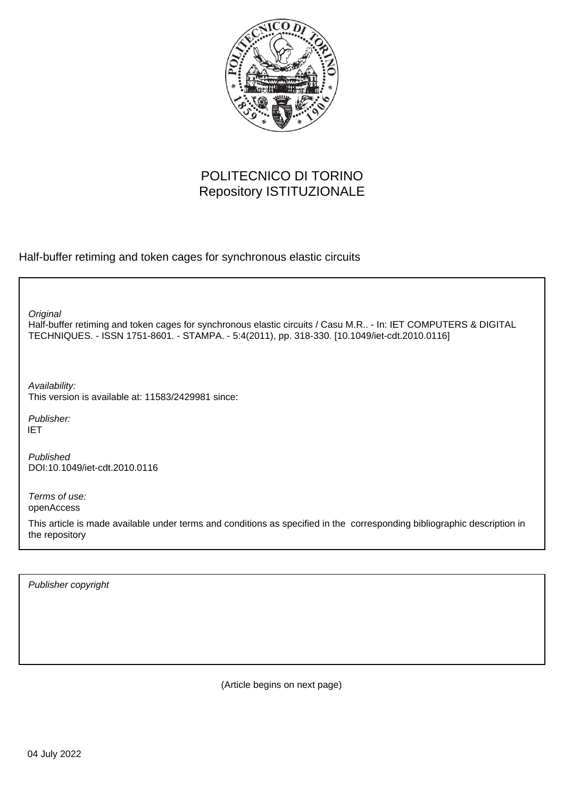

# POLITECNICO DI TORINO Repository ISTITUZIONALE

Half-buffer retiming and token cages for synchronous elastic circuits

**Original** 

Half-buffer retiming and token cages for synchronous elastic circuits / Casu M.R.. - In: IET COMPUTERS & DIGITAL TECHNIQUES. - ISSN 1751-8601. - STAMPA. - 5:4(2011), pp. 318-330. [10.1049/iet-cdt.2010.0116]

Availability: This version is available at: 11583/2429981 since:

Publisher: IET

Published DOI:10.1049/iet-cdt.2010.0116

Terms of use: openAccess

This article is made available under terms and conditions as specified in the corresponding bibliographic description in the repository

Publisher copyright

(Article begins on next page)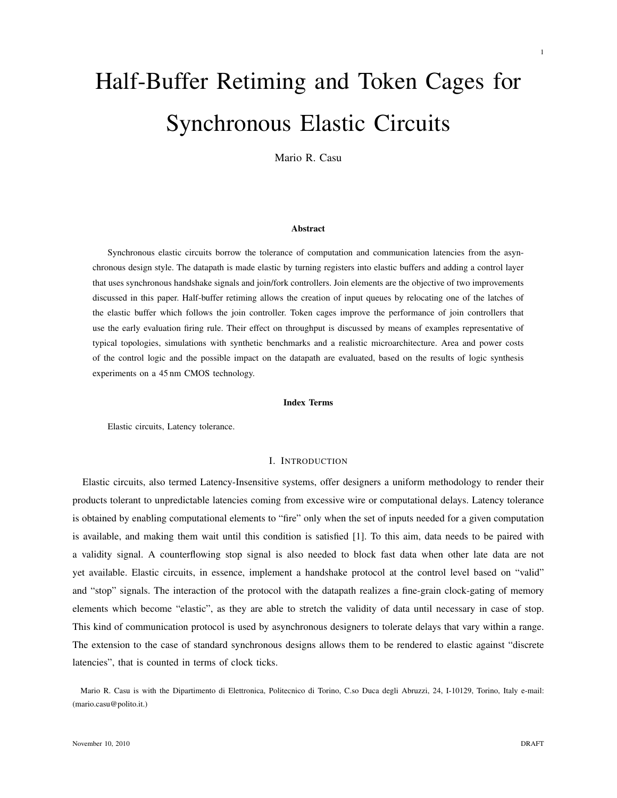# Half-Buffer Retiming and Token Cages for Synchronous Elastic Circuits

Mario R. Casu

#### Abstract

Synchronous elastic circuits borrow the tolerance of computation and communication latencies from the asynchronous design style. The datapath is made elastic by turning registers into elastic buffers and adding a control layer that uses synchronous handshake signals and join/fork controllers. Join elements are the objective of two improvements discussed in this paper. Half-buffer retiming allows the creation of input queues by relocating one of the latches of the elastic buffer which follows the join controller. Token cages improve the performance of join controllers that use the early evaluation firing rule. Their effect on throughput is discussed by means of examples representative of typical topologies, simulations with synthetic benchmarks and a realistic microarchitecture. Area and power costs of the control logic and the possible impact on the datapath are evaluated, based on the results of logic synthesis experiments on a 45 nm CMOS technology.

#### Index Terms

Elastic circuits, Latency tolerance.

# I. INTRODUCTION

Elastic circuits, also termed Latency-Insensitive systems, offer designers a uniform methodology to render their products tolerant to unpredictable latencies coming from excessive wire or computational delays. Latency tolerance is obtained by enabling computational elements to "fire" only when the set of inputs needed for a given computation is available, and making them wait until this condition is satisfied [1]. To this aim, data needs to be paired with a validity signal. A counterflowing stop signal is also needed to block fast data when other late data are not yet available. Elastic circuits, in essence, implement a handshake protocol at the control level based on "valid" and "stop" signals. The interaction of the protocol with the datapath realizes a fine-grain clock-gating of memory elements which become "elastic", as they are able to stretch the validity of data until necessary in case of stop. This kind of communication protocol is used by asynchronous designers to tolerate delays that vary within a range. The extension to the case of standard synchronous designs allows them to be rendered to elastic against "discrete latencies", that is counted in terms of clock ticks.

Mario R. Casu is with the Dipartimento di Elettronica, Politecnico di Torino, C.so Duca degli Abruzzi, 24, I-10129, Torino, Italy e-mail: (mario.casu@polito.it.)

1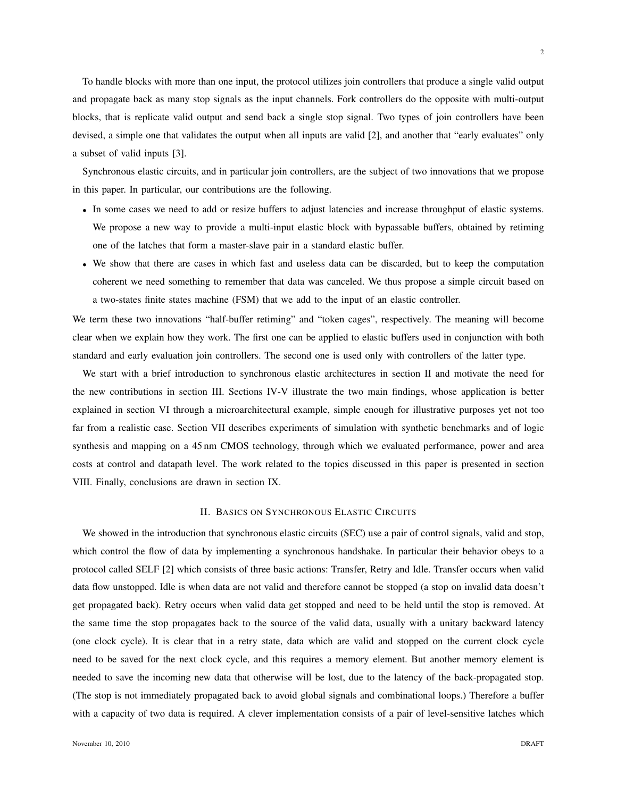To handle blocks with more than one input, the protocol utilizes join controllers that produce a single valid output and propagate back as many stop signals as the input channels. Fork controllers do the opposite with multi-output blocks, that is replicate valid output and send back a single stop signal. Two types of join controllers have been devised, a simple one that validates the output when all inputs are valid [2], and another that "early evaluates" only a subset of valid inputs [3].

Synchronous elastic circuits, and in particular join controllers, are the subject of two innovations that we propose in this paper. In particular, our contributions are the following.

- In some cases we need to add or resize buffers to adjust latencies and increase throughput of elastic systems. We propose a new way to provide a multi-input elastic block with bypassable buffers, obtained by retiming one of the latches that form a master-slave pair in a standard elastic buffer.
- We show that there are cases in which fast and useless data can be discarded, but to keep the computation coherent we need something to remember that data was canceled. We thus propose a simple circuit based on a two-states finite states machine (FSM) that we add to the input of an elastic controller.

We term these two innovations "half-buffer retiming" and "token cages", respectively. The meaning will become clear when we explain how they work. The first one can be applied to elastic buffers used in conjunction with both standard and early evaluation join controllers. The second one is used only with controllers of the latter type.

We start with a brief introduction to synchronous elastic architectures in section II and motivate the need for the new contributions in section III. Sections IV-V illustrate the two main findings, whose application is better explained in section VI through a microarchitectural example, simple enough for illustrative purposes yet not too far from a realistic case. Section VII describes experiments of simulation with synthetic benchmarks and of logic synthesis and mapping on a 45 nm CMOS technology, through which we evaluated performance, power and area costs at control and datapath level. The work related to the topics discussed in this paper is presented in section VIII. Finally, conclusions are drawn in section IX.

### II. BASICS ON SYNCHRONOUS ELASTIC CIRCUITS

We showed in the introduction that synchronous elastic circuits (SEC) use a pair of control signals, valid and stop, which control the flow of data by implementing a synchronous handshake. In particular their behavior obeys to a protocol called SELF [2] which consists of three basic actions: Transfer, Retry and Idle. Transfer occurs when valid data flow unstopped. Idle is when data are not valid and therefore cannot be stopped (a stop on invalid data doesn't get propagated back). Retry occurs when valid data get stopped and need to be held until the stop is removed. At the same time the stop propagates back to the source of the valid data, usually with a unitary backward latency (one clock cycle). It is clear that in a retry state, data which are valid and stopped on the current clock cycle need to be saved for the next clock cycle, and this requires a memory element. But another memory element is needed to save the incoming new data that otherwise will be lost, due to the latency of the back-propagated stop. (The stop is not immediately propagated back to avoid global signals and combinational loops.) Therefore a buffer with a capacity of two data is required. A clever implementation consists of a pair of level-sensitive latches which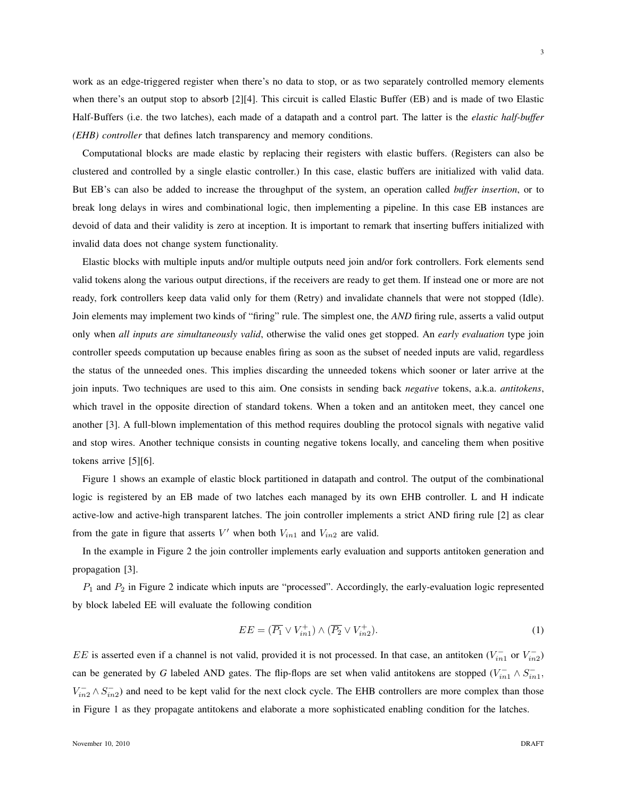work as an edge-triggered register when there's no data to stop, or as two separately controlled memory elements when there's an output stop to absorb [2][4]. This circuit is called Elastic Buffer (EB) and is made of two Elastic Half-Buffers (i.e. the two latches), each made of a datapath and a control part. The latter is the *elastic half-buffer (EHB) controller* that defines latch transparency and memory conditions.

Computational blocks are made elastic by replacing their registers with elastic buffers. (Registers can also be clustered and controlled by a single elastic controller.) In this case, elastic buffers are initialized with valid data. But EB's can also be added to increase the throughput of the system, an operation called *buffer insertion*, or to break long delays in wires and combinational logic, then implementing a pipeline. In this case EB instances are devoid of data and their validity is zero at inception. It is important to remark that inserting buffers initialized with invalid data does not change system functionality.

Elastic blocks with multiple inputs and/or multiple outputs need join and/or fork controllers. Fork elements send valid tokens along the various output directions, if the receivers are ready to get them. If instead one or more are not ready, fork controllers keep data valid only for them (Retry) and invalidate channels that were not stopped (Idle). Join elements may implement two kinds of "firing" rule. The simplest one, the *AND* firing rule, asserts a valid output only when *all inputs are simultaneously valid*, otherwise the valid ones get stopped. An *early evaluation* type join controller speeds computation up because enables firing as soon as the subset of needed inputs are valid, regardless the status of the unneeded ones. This implies discarding the unneeded tokens which sooner or later arrive at the join inputs. Two techniques are used to this aim. One consists in sending back *negative* tokens, a.k.a. *antitokens*, which travel in the opposite direction of standard tokens. When a token and an antitoken meet, they cancel one another [3]. A full-blown implementation of this method requires doubling the protocol signals with negative valid and stop wires. Another technique consists in counting negative tokens locally, and canceling them when positive tokens arrive [5][6].

Figure 1 shows an example of elastic block partitioned in datapath and control. The output of the combinational logic is registered by an EB made of two latches each managed by its own EHB controller. L and H indicate active-low and active-high transparent latches. The join controller implements a strict AND firing rule [2] as clear from the gate in figure that asserts  $V'$  when both  $V_{in1}$  and  $V_{in2}$  are valid.

In the example in Figure 2 the join controller implements early evaluation and supports antitoken generation and propagation [3].

 $P_1$  and  $P_2$  in Figure 2 indicate which inputs are "processed". Accordingly, the early-evaluation logic represented by block labeled EE will evaluate the following condition

$$
EE = (\overline{P_1} \vee V_{in1}^+) \wedge (\overline{P_2} \vee V_{in2}^+).
$$
 (1)

EE is asserted even if a channel is not valid, provided it is not processed. In that case, an antitoken  $(V_{in1}^-$  or  $V_{in2}^-$ ) can be generated by *G* labeled AND gates. The flip-flops are set when valid antitokens are stopped  $(V_{in1}^- \wedge S_{in1}^-)$ ,  $V_{in2}^- \wedge S_{in2}^-$ ) and need to be kept valid for the next clock cycle. The EHB controllers are more complex than those in Figure 1 as they propagate antitokens and elaborate a more sophisticated enabling condition for the latches.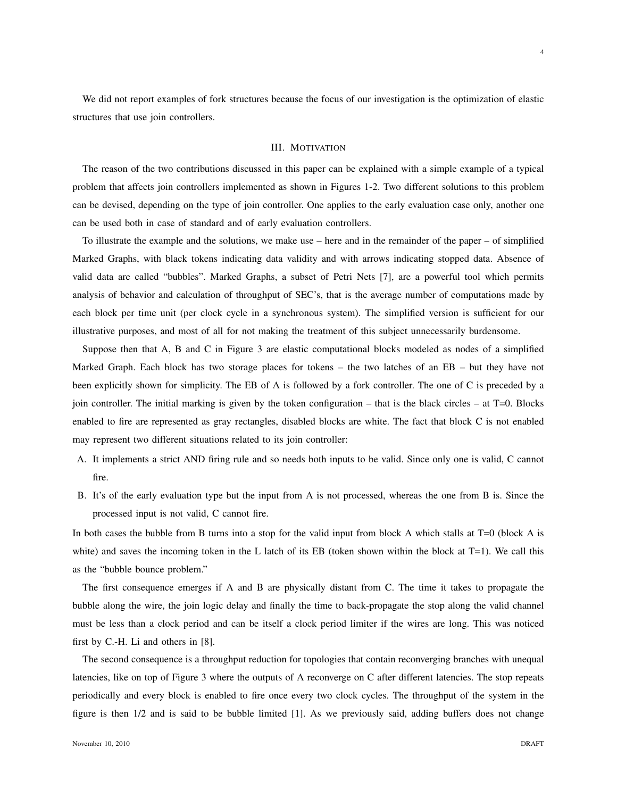We did not report examples of fork structures because the focus of our investigation is the optimization of elastic structures that use join controllers.

# III. MOTIVATION

The reason of the two contributions discussed in this paper can be explained with a simple example of a typical problem that affects join controllers implemented as shown in Figures 1-2. Two different solutions to this problem can be devised, depending on the type of join controller. One applies to the early evaluation case only, another one can be used both in case of standard and of early evaluation controllers.

To illustrate the example and the solutions, we make use – here and in the remainder of the paper – of simplified Marked Graphs, with black tokens indicating data validity and with arrows indicating stopped data. Absence of valid data are called "bubbles". Marked Graphs, a subset of Petri Nets [7], are a powerful tool which permits analysis of behavior and calculation of throughput of SEC's, that is the average number of computations made by each block per time unit (per clock cycle in a synchronous system). The simplified version is sufficient for our illustrative purposes, and most of all for not making the treatment of this subject unnecessarily burdensome.

Suppose then that A, B and C in Figure 3 are elastic computational blocks modeled as nodes of a simplified Marked Graph. Each block has two storage places for tokens – the two latches of an EB – but they have not been explicitly shown for simplicity. The EB of A is followed by a fork controller. The one of C is preceded by a join controller. The initial marking is given by the token configuration – that is the black circles – at T=0. Blocks enabled to fire are represented as gray rectangles, disabled blocks are white. The fact that block C is not enabled may represent two different situations related to its join controller:

- A. It implements a strict AND firing rule and so needs both inputs to be valid. Since only one is valid, C cannot fire.
- B. It's of the early evaluation type but the input from A is not processed, whereas the one from B is. Since the processed input is not valid, C cannot fire.

In both cases the bubble from B turns into a stop for the valid input from block A which stalls at T=0 (block A is white) and saves the incoming token in the L latch of its EB (token shown within the block at  $T=1$ ). We call this as the "bubble bounce problem."

The first consequence emerges if A and B are physically distant from C. The time it takes to propagate the bubble along the wire, the join logic delay and finally the time to back-propagate the stop along the valid channel must be less than a clock period and can be itself a clock period limiter if the wires are long. This was noticed first by C.-H. Li and others in [8].

The second consequence is a throughput reduction for topologies that contain reconverging branches with unequal latencies, like on top of Figure 3 where the outputs of A reconverge on C after different latencies. The stop repeats periodically and every block is enabled to fire once every two clock cycles. The throughput of the system in the figure is then 1/2 and is said to be bubble limited [1]. As we previously said, adding buffers does not change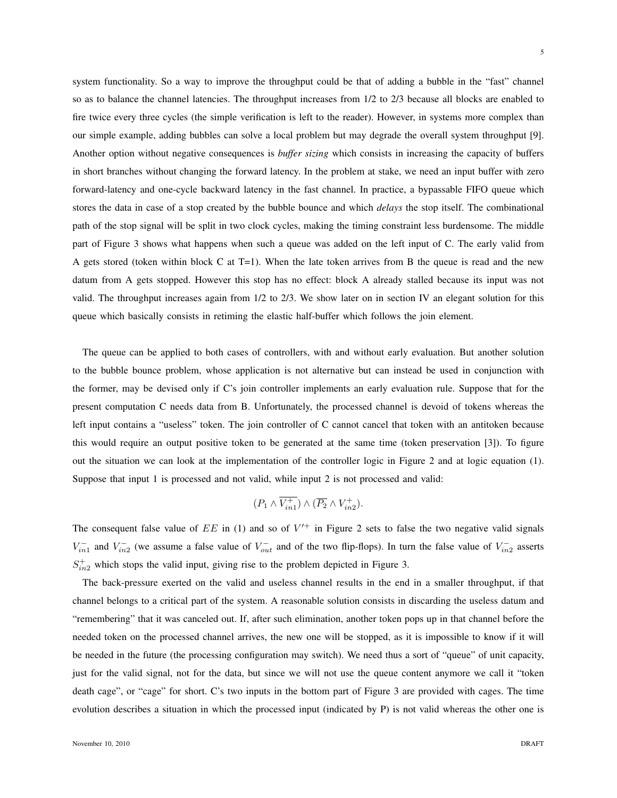system functionality. So a way to improve the throughput could be that of adding a bubble in the "fast" channel so as to balance the channel latencies. The throughput increases from 1/2 to 2/3 because all blocks are enabled to fire twice every three cycles (the simple verification is left to the reader). However, in systems more complex than our simple example, adding bubbles can solve a local problem but may degrade the overall system throughput [9]. Another option without negative consequences is *buffer sizing* which consists in increasing the capacity of buffers in short branches without changing the forward latency. In the problem at stake, we need an input buffer with zero forward-latency and one-cycle backward latency in the fast channel. In practice, a bypassable FIFO queue which stores the data in case of a stop created by the bubble bounce and which *delays* the stop itself. The combinational path of the stop signal will be split in two clock cycles, making the timing constraint less burdensome. The middle part of Figure 3 shows what happens when such a queue was added on the left input of C. The early valid from A gets stored (token within block C at T=1). When the late token arrives from B the queue is read and the new datum from A gets stopped. However this stop has no effect: block A already stalled because its input was not valid. The throughput increases again from 1/2 to 2/3. We show later on in section IV an elegant solution for this queue which basically consists in retiming the elastic half-buffer which follows the join element.

The queue can be applied to both cases of controllers, with and without early evaluation. But another solution to the bubble bounce problem, whose application is not alternative but can instead be used in conjunction with the former, may be devised only if C's join controller implements an early evaluation rule. Suppose that for the present computation C needs data from B. Unfortunately, the processed channel is devoid of tokens whereas the left input contains a "useless" token. The join controller of C cannot cancel that token with an antitoken because this would require an output positive token to be generated at the same time (token preservation [3]). To figure out the situation we can look at the implementation of the controller logic in Figure 2 and at logic equation (1). Suppose that input 1 is processed and not valid, while input 2 is not processed and valid:

$$
(P_1 \wedge \overline{V_{in1}^+}) \wedge (\overline{P_2} \wedge V_{in2}^+).
$$

The consequent false value of  $EE$  in (1) and so of  $V'^{+}$  in Figure 2 sets to false the two negative valid signals  $V_{in1}^-$  and  $V_{in2}^-$  (we assume a false value of  $V_{out}^-$  and of the two flip-flops). In turn the false value of  $V_{in2}^-$  asserts  $S_{in2}^+$  which stops the valid input, giving rise to the problem depicted in Figure 3.

The back-pressure exerted on the valid and useless channel results in the end in a smaller throughput, if that channel belongs to a critical part of the system. A reasonable solution consists in discarding the useless datum and "remembering" that it was canceled out. If, after such elimination, another token pops up in that channel before the needed token on the processed channel arrives, the new one will be stopped, as it is impossible to know if it will be needed in the future (the processing configuration may switch). We need thus a sort of "queue" of unit capacity, just for the valid signal, not for the data, but since we will not use the queue content anymore we call it "token death cage", or "cage" for short. C's two inputs in the bottom part of Figure 3 are provided with cages. The time evolution describes a situation in which the processed input (indicated by P) is not valid whereas the other one is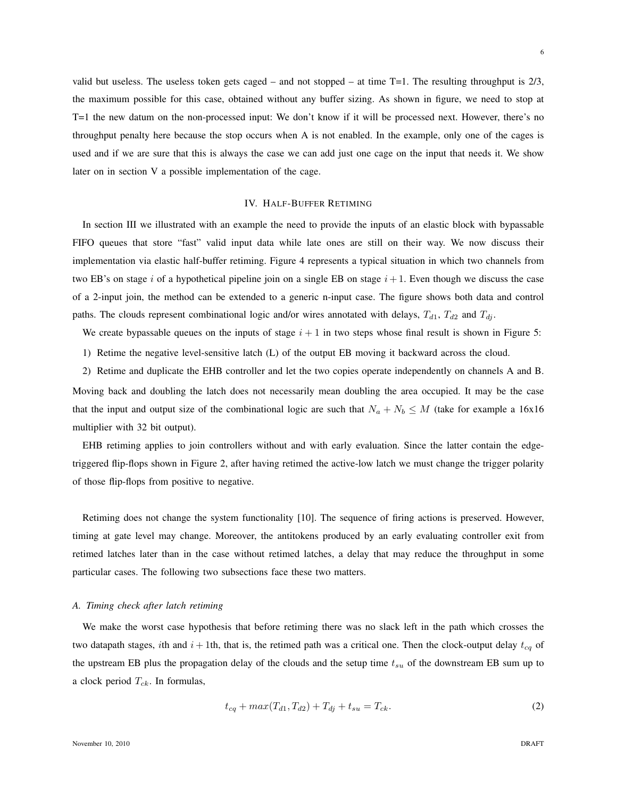valid but useless. The useless token gets caged – and not stopped – at time  $T=1$ . The resulting throughput is  $2/3$ , the maximum possible for this case, obtained without any buffer sizing. As shown in figure, we need to stop at T=1 the new datum on the non-processed input: We don't know if it will be processed next. However, there's no throughput penalty here because the stop occurs when A is not enabled. In the example, only one of the cages is used and if we are sure that this is always the case we can add just one cage on the input that needs it. We show later on in section V a possible implementation of the cage.

# IV. HALF-BUFFER RETIMING

In section III we illustrated with an example the need to provide the inputs of an elastic block with bypassable FIFO queues that store "fast" valid input data while late ones are still on their way. We now discuss their implementation via elastic half-buffer retiming. Figure 4 represents a typical situation in which two channels from two EB's on stage i of a hypothetical pipeline join on a single EB on stage  $i + 1$ . Even though we discuss the case of a 2-input join, the method can be extended to a generic n-input case. The figure shows both data and control paths. The clouds represent combinational logic and/or wires annotated with delays,  $T_{d1}$ ,  $T_{d2}$  and  $T_{dj}$ .

We create bypassable queues on the inputs of stage  $i + 1$  in two steps whose final result is shown in Figure 5:

1) Retime the negative level-sensitive latch (L) of the output EB moving it backward across the cloud.

2) Retime and duplicate the EHB controller and let the two copies operate independently on channels A and B. Moving back and doubling the latch does not necessarily mean doubling the area occupied. It may be the case that the input and output size of the combinational logic are such that  $N_a + N_b \leq M$  (take for example a 16x16 multiplier with 32 bit output).

EHB retiming applies to join controllers without and with early evaluation. Since the latter contain the edgetriggered flip-flops shown in Figure 2, after having retimed the active-low latch we must change the trigger polarity of those flip-flops from positive to negative.

Retiming does not change the system functionality [10]. The sequence of firing actions is preserved. However, timing at gate level may change. Moreover, the antitokens produced by an early evaluating controller exit from retimed latches later than in the case without retimed latches, a delay that may reduce the throughput in some particular cases. The following two subsections face these two matters.

#### *A. Timing check after latch retiming*

We make the worst case hypothesis that before retiming there was no slack left in the path which crosses the two datapath stages, ith and  $i + 1$ th, that is, the retimed path was a critical one. Then the clock-output delay  $t_{cq}$  of the upstream EB plus the propagation delay of the clouds and the setup time  $t_{su}$  of the downstream EB sum up to a clock period  $T_{ck}$ . In formulas,

$$
t_{cq} + max(T_{d1}, T_{d2}) + T_{dj} + t_{su} = T_{ck}.
$$
\n(2)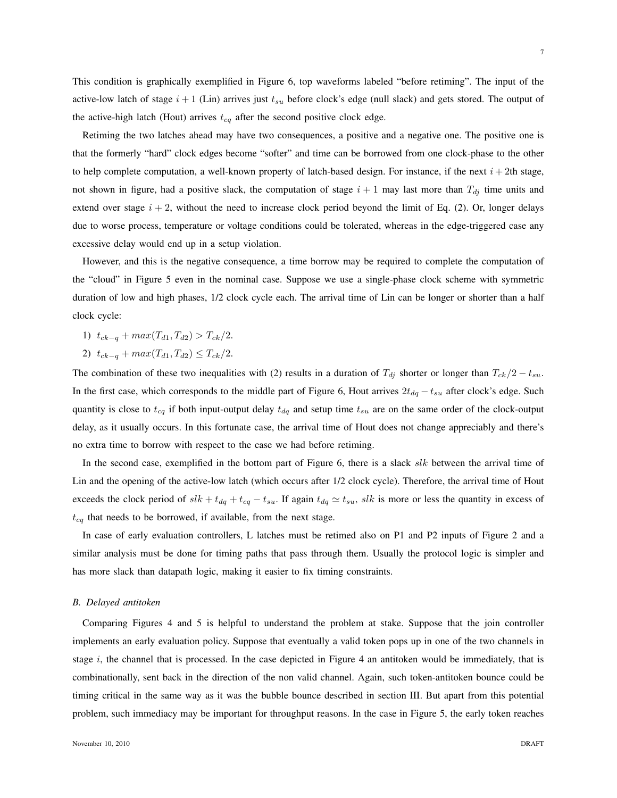This condition is graphically exemplified in Figure 6, top waveforms labeled "before retiming". The input of the active-low latch of stage  $i + 1$  (Lin) arrives just  $t_{su}$  before clock's edge (null slack) and gets stored. The output of the active-high latch (Hout) arrives  $t_{cq}$  after the second positive clock edge.

Retiming the two latches ahead may have two consequences, a positive and a negative one. The positive one is that the formerly "hard" clock edges become "softer" and time can be borrowed from one clock-phase to the other to help complete computation, a well-known property of latch-based design. For instance, if the next  $i + 2$ th stage, not shown in figure, had a positive slack, the computation of stage  $i + 1$  may last more than  $T_{dj}$  time units and extend over stage  $i + 2$ , without the need to increase clock period beyond the limit of Eq. (2). Or, longer delays due to worse process, temperature or voltage conditions could be tolerated, whereas in the edge-triggered case any excessive delay would end up in a setup violation.

However, and this is the negative consequence, a time borrow may be required to complete the computation of the "cloud" in Figure 5 even in the nominal case. Suppose we use a single-phase clock scheme with symmetric duration of low and high phases,  $1/2$  clock cycle each. The arrival time of Lin can be longer or shorter than a half clock cycle:

- 1)  $t_{ck-q} + max(T_{d1}, T_{d2}) > T_{ck}/2.$
- 2)  $t_{ck-q} + max(T_{d1}, T_{d2}) \leq T_{ck}/2.$

The combination of these two inequalities with (2) results in a duration of  $T_{di}$  shorter or longer than  $T_{ck}/2 - t_{su}$ . In the first case, which corresponds to the middle part of Figure 6, Hout arrives  $2t_{dq} - t_{su}$  after clock's edge. Such quantity is close to  $t_{cq}$  if both input-output delay  $t_{dq}$  and setup time  $t_{su}$  are on the same order of the clock-output delay, as it usually occurs. In this fortunate case, the arrival time of Hout does not change appreciably and there's no extra time to borrow with respect to the case we had before retiming.

In the second case, exemplified in the bottom part of Figure 6, there is a slack  $slk$  between the arrival time of Lin and the opening of the active-low latch (which occurs after 1/2 clock cycle). Therefore, the arrival time of Hout exceeds the clock period of  $slk + t_{dq} + t_{cq} - t_{su}$ . If again  $t_{dq} \simeq t_{su}$ ,  $slk$  is more or less the quantity in excess of  $t_{cq}$  that needs to be borrowed, if available, from the next stage.

In case of early evaluation controllers, L latches must be retimed also on P1 and P2 inputs of Figure 2 and a similar analysis must be done for timing paths that pass through them. Usually the protocol logic is simpler and has more slack than datapath logic, making it easier to fix timing constraints.

# *B. Delayed antitoken*

Comparing Figures 4 and 5 is helpful to understand the problem at stake. Suppose that the join controller implements an early evaluation policy. Suppose that eventually a valid token pops up in one of the two channels in stage  $i$ , the channel that is processed. In the case depicted in Figure 4 an antitoken would be immediately, that is combinationally, sent back in the direction of the non valid channel. Again, such token-antitoken bounce could be timing critical in the same way as it was the bubble bounce described in section III. But apart from this potential problem, such immediacy may be important for throughput reasons. In the case in Figure 5, the early token reaches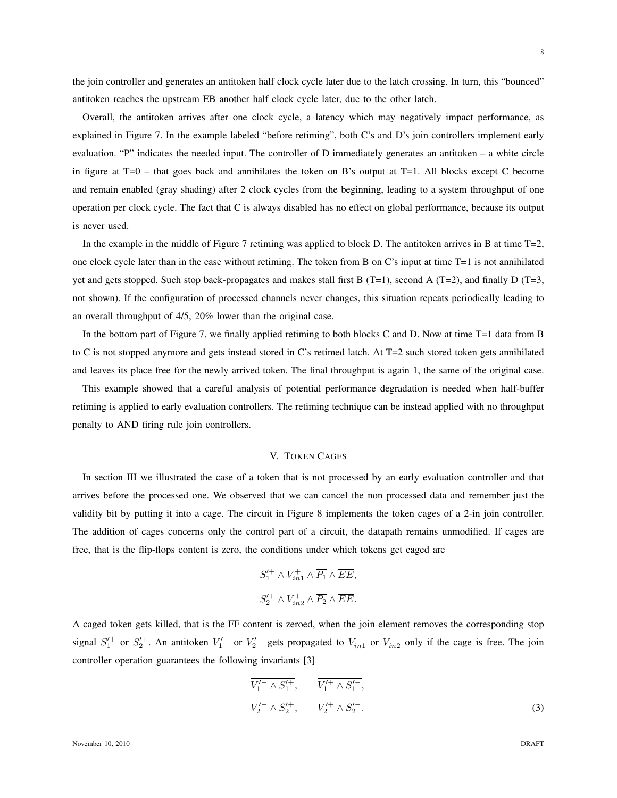8

the join controller and generates an antitoken half clock cycle later due to the latch crossing. In turn, this "bounced" antitoken reaches the upstream EB another half clock cycle later, due to the other latch.

Overall, the antitoken arrives after one clock cycle, a latency which may negatively impact performance, as explained in Figure 7. In the example labeled "before retiming", both C's and D's join controllers implement early evaluation. "P" indicates the needed input. The controller of D immediately generates an antitoken – a white circle in figure at  $T=0$  – that goes back and annihilates the token on B's output at  $T=1$ . All blocks except C become and remain enabled (gray shading) after 2 clock cycles from the beginning, leading to a system throughput of one operation per clock cycle. The fact that C is always disabled has no effect on global performance, because its output is never used.

In the example in the middle of Figure 7 retiming was applied to block D. The antitoken arrives in B at time  $T=2$ , one clock cycle later than in the case without retiming. The token from B on C's input at time T=1 is not annihilated yet and gets stopped. Such stop back-propagates and makes stall first B (T=1), second A (T=2), and finally D (T=3, not shown). If the configuration of processed channels never changes, this situation repeats periodically leading to an overall throughput of 4/5, 20% lower than the original case.

In the bottom part of Figure 7, we finally applied retiming to both blocks C and D. Now at time T=1 data from B to C is not stopped anymore and gets instead stored in C's retimed latch. At T=2 such stored token gets annihilated and leaves its place free for the newly arrived token. The final throughput is again 1, the same of the original case.

This example showed that a careful analysis of potential performance degradation is needed when half-buffer retiming is applied to early evaluation controllers. The retiming technique can be instead applied with no throughput penalty to AND firing rule join controllers.

# V. TOKEN CAGES

In section III we illustrated the case of a token that is not processed by an early evaluation controller and that arrives before the processed one. We observed that we can cancel the non processed data and remember just the validity bit by putting it into a cage. The circuit in Figure 8 implements the token cages of a 2-in join controller. The addition of cages concerns only the control part of a circuit, the datapath remains unmodified. If cages are free, that is the flip-flops content is zero, the conditions under which tokens get caged are

$$
S_1'^+ \wedge V_{in1}^+ \wedge \overline{P_1} \wedge \overline{EE},
$$
  

$$
S_2'^+ \wedge V_{in2}^+ \wedge \overline{P_2} \wedge \overline{EE}.
$$

A caged token gets killed, that is the FF content is zeroed, when the join element removes the corresponding stop signal  $S_1^{(+)}$  or  $S_2^{(+)}$ . An antitoken  $V_1^{(-)}$  or  $V_2^{(-)}$  gets propagated to  $V_{in1}^{-}$  or  $V_{in2}^{-}$  only if the cage is free. The join controller operation guarantees the following invariants [3]

$$
\frac{\overline{V_1'} \wedge S_1'^{+}}{\overline{V_2'} \wedge S_2'^{+}}, \qquad \frac{\overline{V_1'} \wedge S_1'^{-}}{\overline{V_2'} \wedge S_2'^{-}}.
$$
\n(3)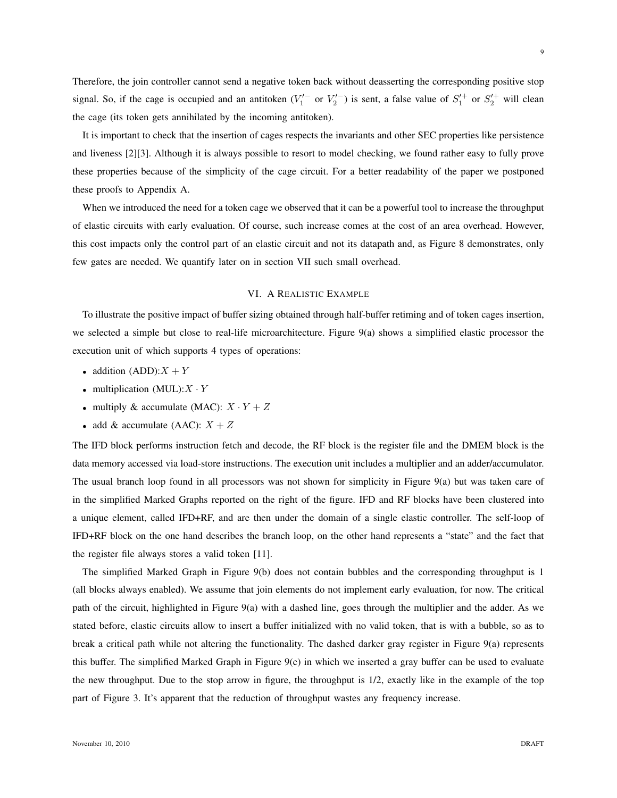9

Therefore, the join controller cannot send a negative token back without deasserting the corresponding positive stop signal. So, if the cage is occupied and an antitoken  $(V_1'$  or  $V_2'$ ) is sent, a false value of  $S_1'$  or  $S_2'$  will clean the cage (its token gets annihilated by the incoming antitoken).

It is important to check that the insertion of cages respects the invariants and other SEC properties like persistence and liveness [2][3]. Although it is always possible to resort to model checking, we found rather easy to fully prove these properties because of the simplicity of the cage circuit. For a better readability of the paper we postponed these proofs to Appendix A.

When we introduced the need for a token cage we observed that it can be a powerful tool to increase the throughput of elastic circuits with early evaluation. Of course, such increase comes at the cost of an area overhead. However, this cost impacts only the control part of an elastic circuit and not its datapath and, as Figure 8 demonstrates, only few gates are needed. We quantify later on in section VII such small overhead.

# VI. A REALISTIC EXAMPLE

To illustrate the positive impact of buffer sizing obtained through half-buffer retiming and of token cages insertion, we selected a simple but close to real-life microarchitecture. Figure 9(a) shows a simplified elastic processor the execution unit of which supports 4 types of operations:

- addition (ADD):  $X + Y$
- multiplication  $(MUL): X \cdot Y$
- multiply & accumulate (MAC):  $X \cdot Y + Z$
- add & accumulate (AAC):  $X + Z$

The IFD block performs instruction fetch and decode, the RF block is the register file and the DMEM block is the data memory accessed via load-store instructions. The execution unit includes a multiplier and an adder/accumulator. The usual branch loop found in all processors was not shown for simplicity in Figure 9(a) but was taken care of in the simplified Marked Graphs reported on the right of the figure. IFD and RF blocks have been clustered into a unique element, called IFD+RF, and are then under the domain of a single elastic controller. The self-loop of IFD+RF block on the one hand describes the branch loop, on the other hand represents a "state" and the fact that the register file always stores a valid token [11].

The simplified Marked Graph in Figure 9(b) does not contain bubbles and the corresponding throughput is 1 (all blocks always enabled). We assume that join elements do not implement early evaluation, for now. The critical path of the circuit, highlighted in Figure 9(a) with a dashed line, goes through the multiplier and the adder. As we stated before, elastic circuits allow to insert a buffer initialized with no valid token, that is with a bubble, so as to break a critical path while not altering the functionality. The dashed darker gray register in Figure 9(a) represents this buffer. The simplified Marked Graph in Figure 9(c) in which we inserted a gray buffer can be used to evaluate the new throughput. Due to the stop arrow in figure, the throughput is 1/2, exactly like in the example of the top part of Figure 3. It's apparent that the reduction of throughput wastes any frequency increase.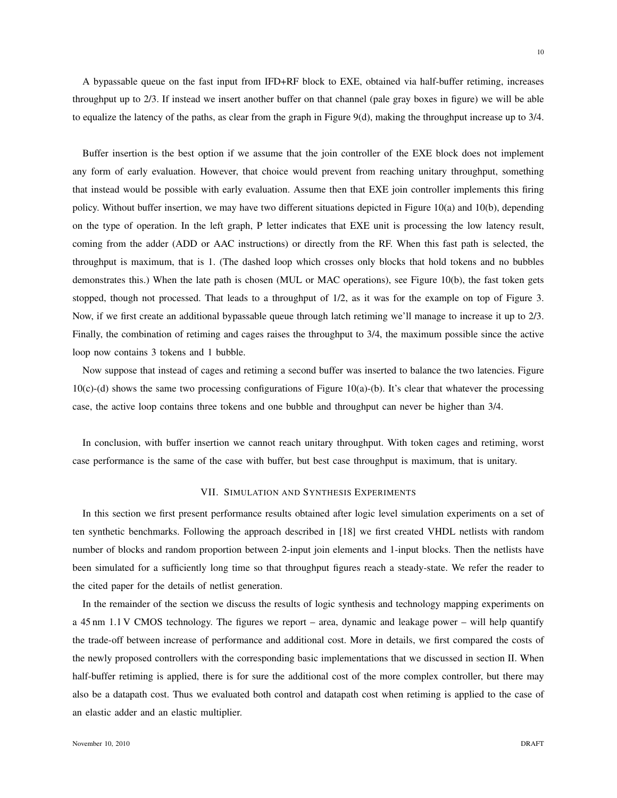A bypassable queue on the fast input from IFD+RF block to EXE, obtained via half-buffer retiming, increases throughput up to 2/3. If instead we insert another buffer on that channel (pale gray boxes in figure) we will be able to equalize the latency of the paths, as clear from the graph in Figure 9(d), making the throughput increase up to  $3/4$ .

Buffer insertion is the best option if we assume that the join controller of the EXE block does not implement any form of early evaluation. However, that choice would prevent from reaching unitary throughput, something that instead would be possible with early evaluation. Assume then that EXE join controller implements this firing policy. Without buffer insertion, we may have two different situations depicted in Figure 10(a) and 10(b), depending on the type of operation. In the left graph, P letter indicates that EXE unit is processing the low latency result, coming from the adder (ADD or AAC instructions) or directly from the RF. When this fast path is selected, the throughput is maximum, that is 1. (The dashed loop which crosses only blocks that hold tokens and no bubbles demonstrates this.) When the late path is chosen (MUL or MAC operations), see Figure 10(b), the fast token gets stopped, though not processed. That leads to a throughput of 1/2, as it was for the example on top of Figure 3. Now, if we first create an additional bypassable queue through latch retiming we'll manage to increase it up to 2/3. Finally, the combination of retiming and cages raises the throughput to 3/4, the maximum possible since the active loop now contains 3 tokens and 1 bubble.

Now suppose that instead of cages and retiming a second buffer was inserted to balance the two latencies. Figure  $10(c)$ -(d) shows the same two processing configurations of Figure 10(a)-(b). It's clear that whatever the processing case, the active loop contains three tokens and one bubble and throughput can never be higher than 3/4.

In conclusion, with buffer insertion we cannot reach unitary throughput. With token cages and retiming, worst case performance is the same of the case with buffer, but best case throughput is maximum, that is unitary.

# VII. SIMULATION AND SYNTHESIS EXPERIMENTS

In this section we first present performance results obtained after logic level simulation experiments on a set of ten synthetic benchmarks. Following the approach described in [18] we first created VHDL netlists with random number of blocks and random proportion between 2-input join elements and 1-input blocks. Then the netlists have been simulated for a sufficiently long time so that throughput figures reach a steady-state. We refer the reader to the cited paper for the details of netlist generation.

In the remainder of the section we discuss the results of logic synthesis and technology mapping experiments on a 45 nm 1.1 V CMOS technology. The figures we report – area, dynamic and leakage power – will help quantify the trade-off between increase of performance and additional cost. More in details, we first compared the costs of the newly proposed controllers with the corresponding basic implementations that we discussed in section II. When half-buffer retiming is applied, there is for sure the additional cost of the more complex controller, but there may also be a datapath cost. Thus we evaluated both control and datapath cost when retiming is applied to the case of an elastic adder and an elastic multiplier.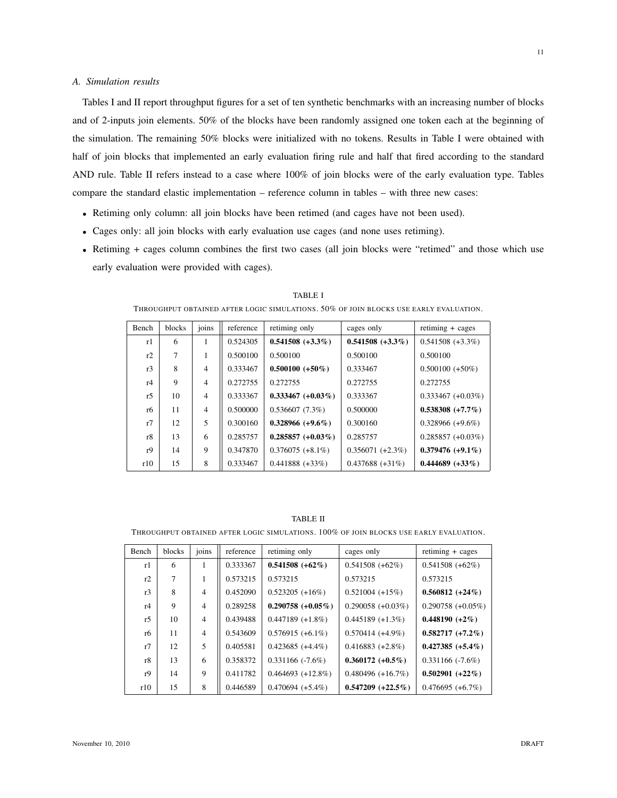# *A. Simulation results*

Tables I and II report throughput figures for a set of ten synthetic benchmarks with an increasing number of blocks and of 2-inputs join elements. 50% of the blocks have been randomly assigned one token each at the beginning of the simulation. The remaining 50% blocks were initialized with no tokens. Results in Table I were obtained with half of join blocks that implemented an early evaluation firing rule and half that fired according to the standard AND rule. Table II refers instead to a case where 100% of join blocks were of the early evaluation type. Tables compare the standard elastic implementation – reference column in tables – with three new cases:

- Retiming only column: all join blocks have been retimed (and cages have not been used).
- Cages only: all join blocks with early evaluation use cages (and none uses retiming).
- Retiming + cages column combines the first two cases (all join blocks were "retimed" and those which use early evaluation were provided with cages).

| Bench          | blocks      | joins          | reference | retiming only        | cages only          | $re timing + cages$  |  |
|----------------|-------------|----------------|-----------|----------------------|---------------------|----------------------|--|
| r1             | 6           |                | 0.524305  | $0.541508 (+3.3\%)$  | $0.541508 (+3.3\%)$ | $0.541508 (+3.3\%)$  |  |
| r2             | 7           | 1              | 0.500100  | 0.500100             | 0.500100            | 0.500100             |  |
| r3             | 8           | $\overline{4}$ | 0.333467  | $0.500100 (+50\%)$   | 0.333467            | $0.500100 (+50\%)$   |  |
| r4             | $\mathbf Q$ | $\overline{4}$ | 0.272755  | 0.272755             | 0.272755            | 0.272755             |  |
| r5             | 10          | $\overline{4}$ | 0.333367  | $0.333467 (+0.03\%)$ | 0.333367            | $0.333467 (+0.03\%)$ |  |
| r6             | 11          | $\overline{4}$ | 0.500000  | 0.536607(7.3%)       | 0.500000            | $0.538308 (+7.7%)$   |  |
| r7             | 12          | 5              | 0.300160  | $0.328966 (+9.6\%)$  | 0.300160            | $0.328966 (+9.6\%)$  |  |
| r8             | 13          | 6              | 0.285757  | $0.285857 (+0.03\%)$ | 0.285757            | $0.285857 (+0.03\%)$ |  |
| r <sub>9</sub> | 14          | 9              | 0.347870  | $0.376075 (+8.1\%)$  | $0.356071 (+2.3%)$  | $0.379476 (+9.1\%)$  |  |
| r10            | 15          | 8              | 0.333467  | $0.441888 (+33%)$    | $0.437688 (+31\%)$  | $0.444689 (+33\%)$   |  |

TABLE I THROUGHPUT OBTAINED AFTER LOGIC SIMULATIONS. 50% OF JOIN BLOCKS USE EARLY EVALUATION.

#### TABLE II

THROUGHPUT OBTAINED AFTER LOGIC SIMULATIONS. 100% OF JOIN BLOCKS USE EARLY EVALUATION.

| Bench | blocks | joins          | reference | retiming only        | cages only           | $re timing + cages$  |  |
|-------|--------|----------------|-----------|----------------------|----------------------|----------------------|--|
| r1    | 6      |                | 0.333367  | $0.541508 (+62\%)$   | $0.541508 (+62%)$    | $0.541508 (+62%)$    |  |
| r2    | 7      | л.             | 0.573215  | 0.573215             | 0.573215             | 0.573215             |  |
| r3    | 8      | $\overline{4}$ | 0.452090  | $0.523205 (+16%)$    | $0.521004 (+15%)$    | $0.560812 (+24\%)$   |  |
| r4    | 9      | $\overline{4}$ | 0.289258  | $0.290758 (+0.05\%)$ | $0.290058 (+0.03\%)$ | $0.290758 (+0.05\%)$ |  |
| r5    | 10     | $\overline{4}$ | 0.439488  | $0.447189 (+1.8%)$   | $0.445189 (+1.3%)$   | $0.448190 (+2\%)$    |  |
| r6    | 11     | $\overline{4}$ | 0.543609  | $0.576915 (+6.1\%)$  | $0.570414 (+4.9\%)$  | $0.582717 (+7.2\%)$  |  |
| r7    | 12     | 5              | 0.405581  | $0.423685 (+4.4\%)$  | $0.416883 (+2.8%)$   | $0.427385 (+5.4\%)$  |  |
| r8    | 13     | 6              | 0.358372  | $0.331166$ (-7.6%)   | $0.360172 (+0.5\%)$  | $0.331166$ (-7.6%)   |  |
| r9    | 14     | 9              | 0.411782  | $0.464693 (+12.8\%)$ | $0.480496 (+16.7%)$  | $0.502901 (+22\%)$   |  |
| r10   | 15     | 8              | 0.446589  | $0.470694 (+5.4%)$   | $0.547209 (+22.5%)$  | $0.476695 (+6.7%)$   |  |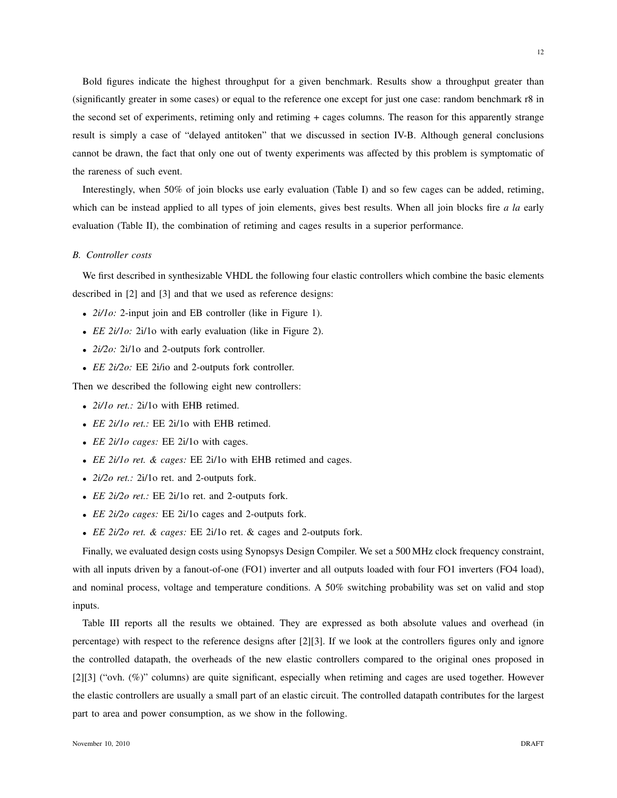Bold figures indicate the highest throughput for a given benchmark. Results show a throughput greater than (significantly greater in some cases) or equal to the reference one except for just one case: random benchmark r8 in the second set of experiments, retiming only and retiming + cages columns. The reason for this apparently strange result is simply a case of "delayed antitoken" that we discussed in section IV-B. Although general conclusions cannot be drawn, the fact that only one out of twenty experiments was affected by this problem is symptomatic of the rareness of such event.

Interestingly, when 50% of join blocks use early evaluation (Table I) and so few cages can be added, retiming, which can be instead applied to all types of join elements, gives best results. When all join blocks fire *a la* early evaluation (Table II), the combination of retiming and cages results in a superior performance.

# *B. Controller costs*

We first described in synthesizable VHDL the following four elastic controllers which combine the basic elements described in [2] and [3] and that we used as reference designs:

- *2i/1o:* 2-input join and EB controller (like in Figure 1).
- *EE 2i/1o:* 2i/1o with early evaluation (like in Figure 2).
- *2i/2o:* 2i/1o and 2-outputs fork controller.
- *EE 2i/2o:* EE 2i/io and 2-outputs fork controller.

Then we described the following eight new controllers:

- *2i/1o ret.:* 2i/1o with EHB retimed.
- *EE 2i/1o ret.:* EE 2i/1o with EHB retimed.
- *EE 2i/1o cages:* EE 2i/1o with cages.
- *EE 2i/1o ret. & cages:* EE 2i/1o with EHB retimed and cages.
- *2i/2o ret.:* 2i/1o ret. and 2-outputs fork.
- *EE 2i/2o ret.:* EE 2i/1o ret. and 2-outputs fork.
- *EE 2i/2o cages:* EE 2i/1o cages and 2-outputs fork.
- *EE 2i/2o ret. & cages:* EE 2i/1o ret. & cages and 2-outputs fork.

Finally, we evaluated design costs using Synopsys Design Compiler. We set a 500 MHz clock frequency constraint, with all inputs driven by a fanout-of-one (FO1) inverter and all outputs loaded with four FO1 inverters (FO4 load), and nominal process, voltage and temperature conditions. A 50% switching probability was set on valid and stop inputs.

Table III reports all the results we obtained. They are expressed as both absolute values and overhead (in percentage) with respect to the reference designs after [2][3]. If we look at the controllers figures only and ignore the controlled datapath, the overheads of the new elastic controllers compared to the original ones proposed in [2][3] ("ovh. (%)" columns) are quite significant, especially when retiming and cages are used together. However the elastic controllers are usually a small part of an elastic circuit. The controlled datapath contributes for the largest part to area and power consumption, as we show in the following.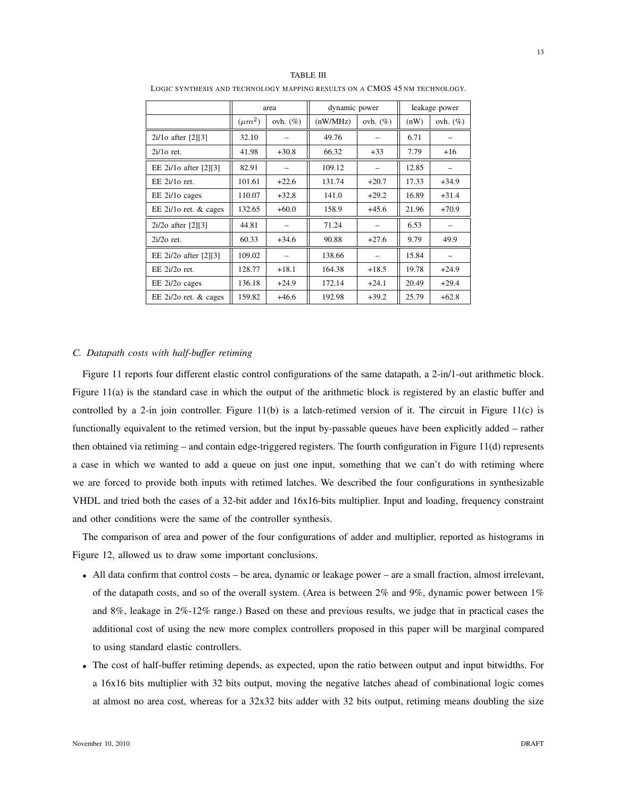|                           | area        |             | dynamic power |             | leakage power |              |
|---------------------------|-------------|-------------|---------------|-------------|---------------|--------------|
|                           | $(\mu m^2)$ | ovh. $(\%)$ | (nW/MHz)      | ovh. $(\%)$ | (nW)          | ovh. $(\% )$ |
| $2i/10$ after $[2][3]$    | 32.10       |             | 49.76         |             | 6.71          |              |
| $2i/10$ ret.              | 41.98       | $+30.8$     | 66.32         | $+33$       | 7.79          | $+16$        |
| EE 2i/1o after [2][3]     | 82.91       |             | 109.12        |             | 12.85         |              |
| $EE$ 2i/1 $o$ ret.        | 101.61      | $+22.6$     | 131.74        | $+20.7$     | 17.33         | $+34.9$      |
| EE 2i/10 cages            | 110.07      | $+32.8$     | 141.0         | $+29.2$     | 16.89         | $+31.4$      |
| EE $2i/10$ ret. & cages   | 132.65      | $+60.0$     | 158.9         | $+45.6$     | 21.96         | $+70.9$      |
| $2i/2o$ after $[2][3]$    | 44.81       |             | 71.24         |             | 6.53          |              |
| $2i/2o$ ret.              | 60.33       | $+34.6$     | 90.88         | $+27.6$     | 9.79          | 49.9         |
| EE 2i/2o after [2][3]     | 109.02      |             | 138.66        |             | 15.84         |              |
| $EE$ $2i/2$ ret.          | 128.77      | $+18.1$     | 164.38        | $+18.5$     | 19.78         | $+24.9$      |
| EE 2i/2o cages            | 136.18      | $+24.9$     | 172.14        | $+24.1$     | 20.49         | $+29.4$      |
| EE $2i/2o$ ret. $&$ cages | 159.82      | $+46.6$     | 192.98        | $+39.2$     | 25.79         | $+62.8$      |

LOGIC SYNTHESIS AND TECHNOLOGY MAPPING RESULTS ON A CMOS 45 NM TECHNOLOGY.

# *C. Datapath costs with half-buffer retiming*

Figure 11 reports four different elastic control configurations of the same datapath, a 2-in/1-out arithmetic block. Figure 11(a) is the standard case in which the output of the arithmetic block is registered by an elastic buffer and controlled by a 2-in join controller. Figure 11(b) is a latch-retimed version of it. The circuit in Figure 11(c) is functionally equivalent to the retimed version, but the input by-passable queues have been explicitly added – rather then obtained via retiming – and contain edge-triggered registers. The fourth configuration in Figure 11(d) represents a case in which we wanted to add a queue on just one input, something that we can't do with retiming where we are forced to provide both inputs with retimed latches. We described the four configurations in synthesizable VHDL and tried both the cases of a 32-bit adder and 16x16-bits multiplier. Input and loading, frequency constraint and other conditions were the same of the controller synthesis.

The comparison of area and power of the four configurations of adder and multiplier, reported as histograms in Figure 12, allowed us to draw some important conclusions.

- All data confirm that control costs be area, dynamic or leakage power are a small fraction, almost irrelevant, of the datapath costs, and so of the overall system. (Area is between  $2\%$  and  $9\%$ , dynamic power between  $1\%$ and 8%, leakage in 2%-12% range.) Based on these and previous results, we judge that in practical cases the additional cost of using the new more complex controllers proposed in this paper will be marginal compared to using standard elastic controllers.
- The cost of half-buffer retiming depends, as expected, upon the ratio between output and input bitwidths. For a 16x16 bits multiplier with 32 bits output, moving the negative latches ahead of combinational logic comes at almost no area cost, whereas for a 32x32 bits adder with 32 bits output, retiming means doubling the size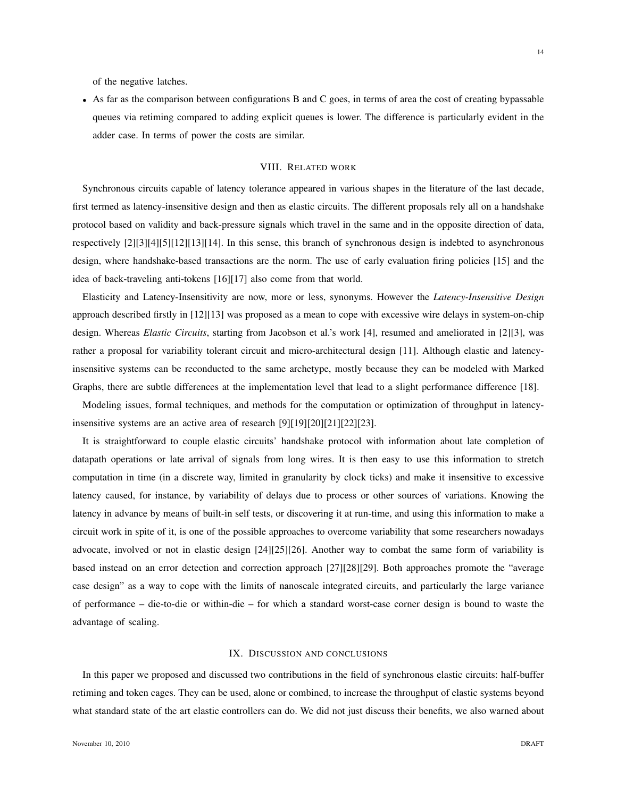of the negative latches.

• As far as the comparison between configurations B and C goes, in terms of area the cost of creating bypassable queues via retiming compared to adding explicit queues is lower. The difference is particularly evident in the adder case. In terms of power the costs are similar.

# VIII. RELATED WORK

Synchronous circuits capable of latency tolerance appeared in various shapes in the literature of the last decade, first termed as latency-insensitive design and then as elastic circuits. The different proposals rely all on a handshake protocol based on validity and back-pressure signals which travel in the same and in the opposite direction of data, respectively [2][3][4][5][12][13][14]. In this sense, this branch of synchronous design is indebted to asynchronous design, where handshake-based transactions are the norm. The use of early evaluation firing policies [15] and the idea of back-traveling anti-tokens [16][17] also come from that world.

Elasticity and Latency-Insensitivity are now, more or less, synonyms. However the *Latency-Insensitive Design* approach described firstly in [12][13] was proposed as a mean to cope with excessive wire delays in system-on-chip design. Whereas *Elastic Circuits*, starting from Jacobson et al.'s work [4], resumed and ameliorated in [2][3], was rather a proposal for variability tolerant circuit and micro-architectural design [11]. Although elastic and latencyinsensitive systems can be reconducted to the same archetype, mostly because they can be modeled with Marked Graphs, there are subtle differences at the implementation level that lead to a slight performance difference [18].

Modeling issues, formal techniques, and methods for the computation or optimization of throughput in latencyinsensitive systems are an active area of research [9][19][20][21][22][23].

It is straightforward to couple elastic circuits' handshake protocol with information about late completion of datapath operations or late arrival of signals from long wires. It is then easy to use this information to stretch computation in time (in a discrete way, limited in granularity by clock ticks) and make it insensitive to excessive latency caused, for instance, by variability of delays due to process or other sources of variations. Knowing the latency in advance by means of built-in self tests, or discovering it at run-time, and using this information to make a circuit work in spite of it, is one of the possible approaches to overcome variability that some researchers nowadays advocate, involved or not in elastic design [24][25][26]. Another way to combat the same form of variability is based instead on an error detection and correction approach [27][28][29]. Both approaches promote the "average case design" as a way to cope with the limits of nanoscale integrated circuits, and particularly the large variance of performance – die-to-die or within-die – for which a standard worst-case corner design is bound to waste the advantage of scaling.

# IX. DISCUSSION AND CONCLUSIONS

In this paper we proposed and discussed two contributions in the field of synchronous elastic circuits: half-buffer retiming and token cages. They can be used, alone or combined, to increase the throughput of elastic systems beyond what standard state of the art elastic controllers can do. We did not just discuss their benefits, we also warned about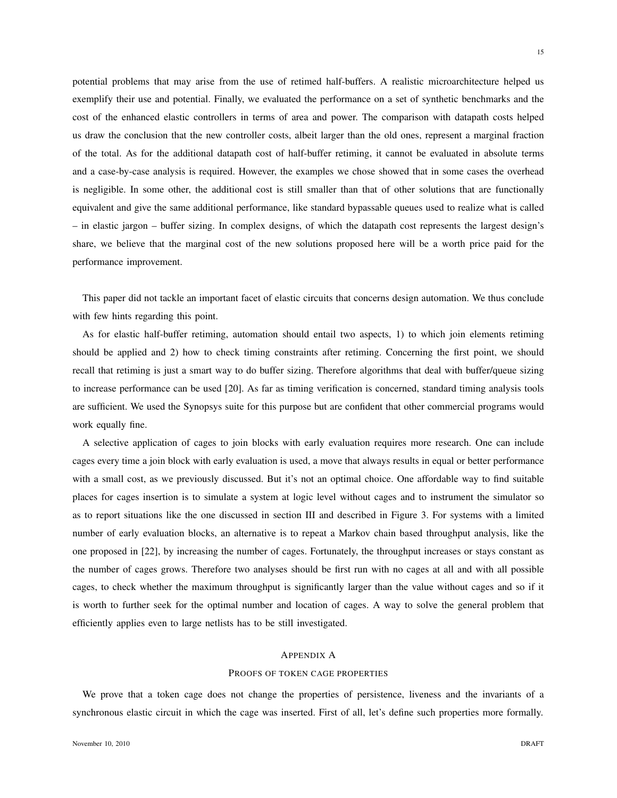potential problems that may arise from the use of retimed half-buffers. A realistic microarchitecture helped us exemplify their use and potential. Finally, we evaluated the performance on a set of synthetic benchmarks and the cost of the enhanced elastic controllers in terms of area and power. The comparison with datapath costs helped us draw the conclusion that the new controller costs, albeit larger than the old ones, represent a marginal fraction of the total. As for the additional datapath cost of half-buffer retiming, it cannot be evaluated in absolute terms and a case-by-case analysis is required. However, the examples we chose showed that in some cases the overhead is negligible. In some other, the additional cost is still smaller than that of other solutions that are functionally equivalent and give the same additional performance, like standard bypassable queues used to realize what is called – in elastic jargon – buffer sizing. In complex designs, of which the datapath cost represents the largest design's share, we believe that the marginal cost of the new solutions proposed here will be a worth price paid for the performance improvement.

This paper did not tackle an important facet of elastic circuits that concerns design automation. We thus conclude with few hints regarding this point.

As for elastic half-buffer retiming, automation should entail two aspects, 1) to which join elements retiming should be applied and 2) how to check timing constraints after retiming. Concerning the first point, we should recall that retiming is just a smart way to do buffer sizing. Therefore algorithms that deal with buffer/queue sizing to increase performance can be used [20]. As far as timing verification is concerned, standard timing analysis tools are sufficient. We used the Synopsys suite for this purpose but are confident that other commercial programs would work equally fine.

A selective application of cages to join blocks with early evaluation requires more research. One can include cages every time a join block with early evaluation is used, a move that always results in equal or better performance with a small cost, as we previously discussed. But it's not an optimal choice. One affordable way to find suitable places for cages insertion is to simulate a system at logic level without cages and to instrument the simulator so as to report situations like the one discussed in section III and described in Figure 3. For systems with a limited number of early evaluation blocks, an alternative is to repeat a Markov chain based throughput analysis, like the one proposed in [22], by increasing the number of cages. Fortunately, the throughput increases or stays constant as the number of cages grows. Therefore two analyses should be first run with no cages at all and with all possible cages, to check whether the maximum throughput is significantly larger than the value without cages and so if it is worth to further seek for the optimal number and location of cages. A way to solve the general problem that efficiently applies even to large netlists has to be still investigated.

# APPENDIX A

# PROOFS OF TOKEN CAGE PROPERTIES

We prove that a token cage does not change the properties of persistence, liveness and the invariants of a synchronous elastic circuit in which the cage was inserted. First of all, let's define such properties more formally.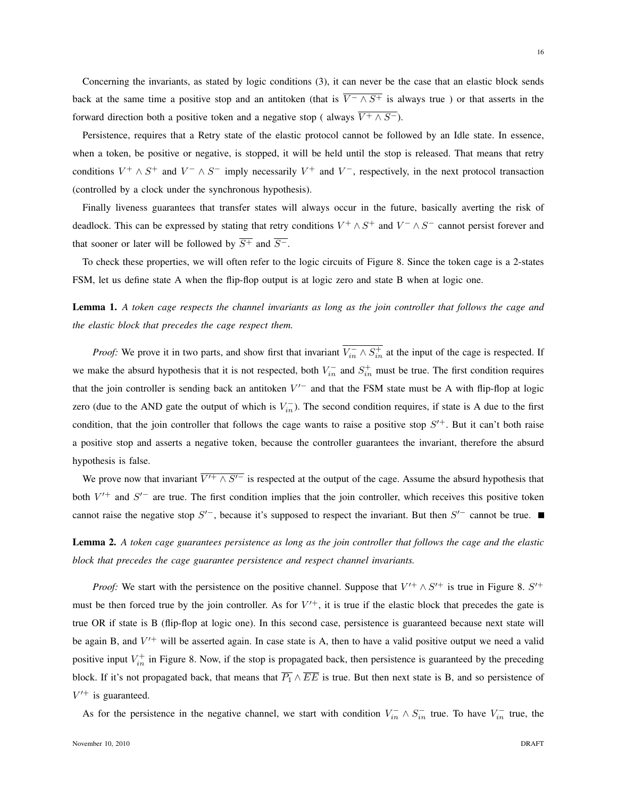Concerning the invariants, as stated by logic conditions (3), it can never be the case that an elastic block sends back at the same time a positive stop and an antitoken (that is  $\overline{V^- \wedge S^+}$  is always true) or that asserts in the forward direction both a positive token and a negative stop ( always  $\overline{V^+ \wedge S^-}$ ).

Persistence, requires that a Retry state of the elastic protocol cannot be followed by an Idle state. In essence, when a token, be positive or negative, is stopped, it will be held until the stop is released. That means that retry conditions  $V^+ \wedge S^+$  and  $V^- \wedge S^-$  imply necessarily  $V^+$  and  $V^-$ , respectively, in the next protocol transaction (controlled by a clock under the synchronous hypothesis).

Finally liveness guarantees that transfer states will always occur in the future, basically averting the risk of deadlock. This can be expressed by stating that retry conditions  $V^+ \wedge S^+$  and  $V^- \wedge S^-$  cannot persist forever and that sooner or later will be followed by  $\overline{S^+}$  and  $\overline{S^-}$ .

To check these properties, we will often refer to the logic circuits of Figure 8. Since the token cage is a 2-states FSM, let us define state A when the flip-flop output is at logic zero and state B when at logic one.

Lemma 1. *A token cage respects the channel invariants as long as the join controller that follows the cage and the elastic block that precedes the cage respect them.*

*Proof:* We prove it in two parts, and show first that invariant  $\overline{V_{in}^{-} \wedge S_{in}^{+}}$  at the input of the cage is respected. If we make the absurd hypothesis that it is not respected, both  $V_{in}^-$  and  $S_{in}^+$  must be true. The first condition requires that the join controller is sending back an antitoken  $V'$  and that the FSM state must be A with flip-flop at logic zero (due to the AND gate the output of which is  $V_{in}^-$ ). The second condition requires, if state is A due to the first condition, that the join controller that follows the cage wants to raise a positive stop  $S'^+$ . But it can't both raise a positive stop and asserts a negative token, because the controller guarantees the invariant, therefore the absurd hypothesis is false.

We prove now that invariant  $\overline{V'^+ \wedge S'^-}$  is respected at the output of the cage. Assume the absurd hypothesis that both  $V'^+$  and  $S'^-$  are true. The first condition implies that the join controller, which receives this positive token cannot raise the negative stop  $S<sup>/-</sup>$ , because it's supposed to respect the invariant. But then  $S<sup>/-</sup>$  cannot be true.

Lemma 2. *A token cage guarantees persistence as long as the join controller that follows the cage and the elastic block that precedes the cage guarantee persistence and respect channel invariants.*

*Proof:* We start with the persistence on the positive channel. Suppose that  $V'^+ \wedge S'^+$  is true in Figure 8.  $S'^+$ must be then forced true by the join controller. As for  $V'^+$ , it is true if the elastic block that precedes the gate is true OR if state is B (flip-flop at logic one). In this second case, persistence is guaranteed because next state will be again B, and  $V'^+$  will be asserted again. In case state is A, then to have a valid positive output we need a valid positive input  $V_{in}^+$  in Figure 8. Now, if the stop is propagated back, then persistence is guaranteed by the preceding block. If it's not propagated back, that means that  $\overline{P_1} \wedge \overline{EE}$  is true. But then next state is B, and so persistence of  $V'^+$  is guaranteed.

As for the persistence in the negative channel, we start with condition  $V_{in}^- \wedge S_{in}^-$  true. To have  $V_{in}^-$  true, the

16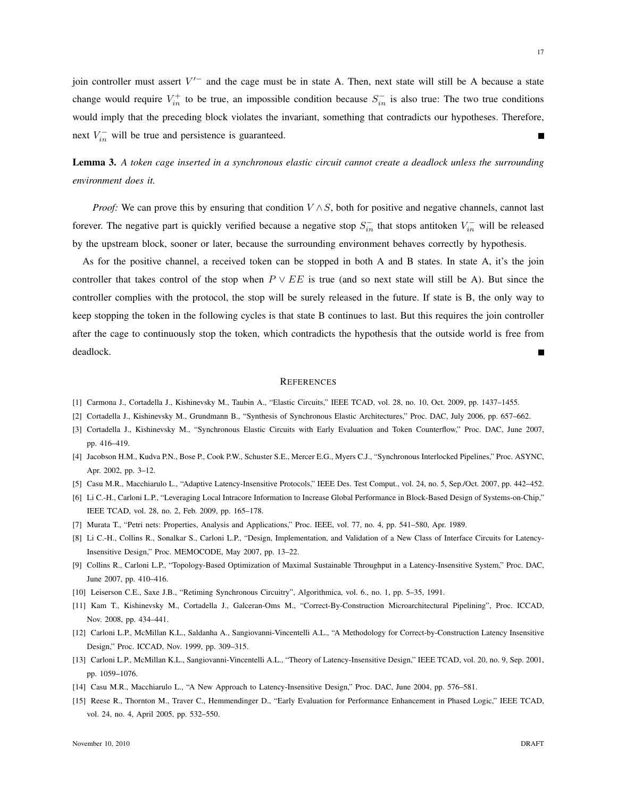join controller must assert  $V'$  and the cage must be in state A. Then, next state will still be A because a state change would require  $V_{in}^+$  to be true, an impossible condition because  $S_{in}^-$  is also true: The two true conditions would imply that the preceding block violates the invariant, something that contradicts our hypotheses. Therefore, next  $V_{in}^-$  will be true and persistence is guaranteed.

Lemma 3. *A token cage inserted in a synchronous elastic circuit cannot create a deadlock unless the surrounding environment does it.*

*Proof:* We can prove this by ensuring that condition  $V \wedge S$ , both for positive and negative channels, cannot last forever. The negative part is quickly verified because a negative stop  $S_{in}^-$  that stops antitoken  $V_{in}^-$  will be released by the upstream block, sooner or later, because the surrounding environment behaves correctly by hypothesis.

As for the positive channel, a received token can be stopped in both A and B states. In state A, it's the join controller that takes control of the stop when  $P \vee EE$  is true (and so next state will still be A). But since the controller complies with the protocol, the stop will be surely released in the future. If state is B, the only way to keep stopping the token in the following cycles is that state B continues to last. But this requires the join controller after the cage to continuously stop the token, which contradicts the hypothesis that the outside world is free from deadlock.

# **REFERENCES**

- [1] Carmona J., Cortadella J., Kishinevsky M., Taubin A., "Elastic Circuits," IEEE TCAD, vol. 28, no. 10, Oct. 2009, pp. 1437–1455.
- [2] Cortadella J., Kishinevsky M., Grundmann B., "Synthesis of Synchronous Elastic Architectures," Proc. DAC, July 2006, pp. 657–662.
- [3] Cortadella J., Kishinevsky M., "Synchronous Elastic Circuits with Early Evaluation and Token Counterflow," Proc. DAC, June 2007, pp. 416–419.
- [4] Jacobson H.M., Kudva P.N., Bose P., Cook P.W., Schuster S.E., Mercer E.G., Myers C.J., "Synchronous Interlocked Pipelines," Proc. ASYNC, Apr. 2002, pp. 3–12.
- [5] Casu M.R., Macchiarulo L., "Adaptive Latency-Insensitive Protocols," IEEE Des. Test Comput., vol. 24, no. 5, Sep./Oct. 2007, pp. 442–452.
- [6] Li C.-H., Carloni L.P., "Leveraging Local Intracore Information to Increase Global Performance in Block-Based Design of Systems-on-Chip," IEEE TCAD, vol. 28, no. 2, Feb. 2009, pp. 165–178.
- [7] Murata T., "Petri nets: Properties, Analysis and Applications," Proc. IEEE, vol. 77, no. 4, pp. 541–580, Apr. 1989.
- [8] Li C.-H., Collins R., Sonalkar S., Carloni L.P., "Design, Implementation, and Validation of a New Class of Interface Circuits for Latency-Insensitive Design," Proc. MEMOCODE, May 2007, pp. 13–22.
- [9] Collins R., Carloni L.P., "Topology-Based Optimization of Maximal Sustainable Throughput in a Latency-Insensitive System," Proc. DAC, June 2007, pp. 410–416.
- [10] Leiserson C.E., Saxe J.B., "Retiming Synchronous Circuitry", Algorithmica, vol. 6., no. 1, pp. 5–35, 1991.
- [11] Kam T., Kishinevsky M., Cortadella J., Galceran-Oms M., "Correct-By-Construction Microarchitectural Pipelining", Proc. ICCAD, Nov. 2008, pp. 434–441.
- [12] Carloni L.P., McMillan K.L., Saldanha A., Sangiovanni-Vincentelli A.L., "A Methodology for Correct-by-Construction Latency Insensitive Design," Proc. ICCAD, Nov. 1999, pp. 309–315.
- [13] Carloni L.P., McMillan K.L., Sangiovanni-Vincentelli A.L., "Theory of Latency-Insensitive Design," IEEE TCAD, vol. 20, no. 9, Sep. 2001, pp. 1059–1076.
- [14] Casu M.R., Macchiarulo L., "A New Approach to Latency-Insensitive Design," Proc. DAC, June 2004, pp. 576–581.
- [15] Reese R., Thornton M., Traver C., Hemmendinger D., "Early Evaluation for Performance Enhancement in Phased Logic," IEEE TCAD, vol. 24, no. 4, April 2005, pp. 532–550.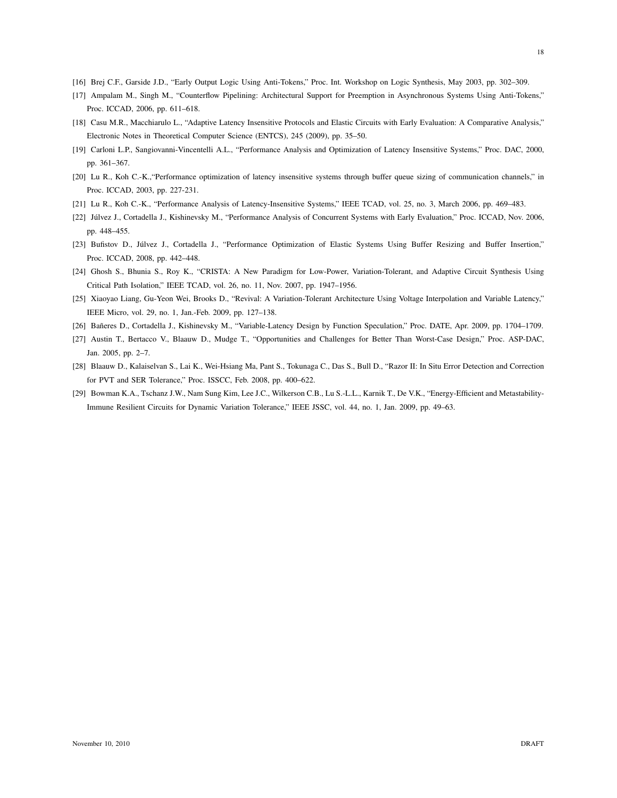18

- [16] Brej C.F., Garside J.D., "Early Output Logic Using Anti-Tokens," Proc. Int. Workshop on Logic Synthesis, May 2003, pp. 302–309.
- [17] Ampalam M., Singh M., "Counterflow Pipelining: Architectural Support for Preemption in Asynchronous Systems Using Anti-Tokens," Proc. ICCAD, 2006, pp. 611–618.
- [18] Casu M.R., Macchiarulo L., "Adaptive Latency Insensitive Protocols and Elastic Circuits with Early Evaluation: A Comparative Analysis," Electronic Notes in Theoretical Computer Science (ENTCS), 245 (2009), pp. 35–50.
- [19] Carloni L.P., Sangiovanni-Vincentelli A.L., "Performance Analysis and Optimization of Latency Insensitive Systems," Proc. DAC, 2000, pp. 361–367.
- [20] Lu R., Koh C.-K.,"Performance optimization of latency insensitive systems through buffer queue sizing of communication channels," in Proc. ICCAD, 2003, pp. 227-231.
- [21] Lu R., Koh C.-K., "Performance Analysis of Latency-Insensitive Systems," IEEE TCAD, vol. 25, no. 3, March 2006, pp. 469–483.
- [22] Júlvez J., Cortadella J., Kishinevsky M., "Performance Analysis of Concurrent Systems with Early Evaluation," Proc. ICCAD, Nov. 2006, pp. 448–455.
- [23] Bufistov D., Júlvez J., Cortadella J., "Performance Optimization of Elastic Systems Using Buffer Resizing and Buffer Insertion," Proc. ICCAD, 2008, pp. 442–448.
- [24] Ghosh S., Bhunia S., Roy K., "CRISTA: A New Paradigm for Low-Power, Variation-Tolerant, and Adaptive Circuit Synthesis Using Critical Path Isolation," IEEE TCAD, vol. 26, no. 11, Nov. 2007, pp. 1947–1956.
- [25] Xiaoyao Liang, Gu-Yeon Wei, Brooks D., "Revival: A Variation-Tolerant Architecture Using Voltage Interpolation and Variable Latency," IEEE Micro, vol. 29, no. 1, Jan.-Feb. 2009, pp. 127–138.
- [26] Bañeres D., Cortadella J., Kishinevsky M., "Variable-Latency Design by Function Speculation," Proc. DATE, Apr. 2009, pp. 1704-1709.
- [27] Austin T., Bertacco V., Blaauw D., Mudge T., "Opportunities and Challenges for Better Than Worst-Case Design," Proc. ASP-DAC, Jan. 2005, pp. 2–7.
- [28] Blaauw D., Kalaiselvan S., Lai K., Wei-Hsiang Ma, Pant S., Tokunaga C., Das S., Bull D., "Razor II: In Situ Error Detection and Correction for PVT and SER Tolerance," Proc. ISSCC, Feb. 2008, pp. 400–622.
- [29] Bowman K.A., Tschanz J.W., Nam Sung Kim, Lee J.C., Wilkerson C.B., Lu S.-L.L., Karnik T., De V.K., "Energy-Efficient and Metastability-Immune Resilient Circuits for Dynamic Variation Tolerance," IEEE JSSC, vol. 44, no. 1, Jan. 2009, pp. 49–63.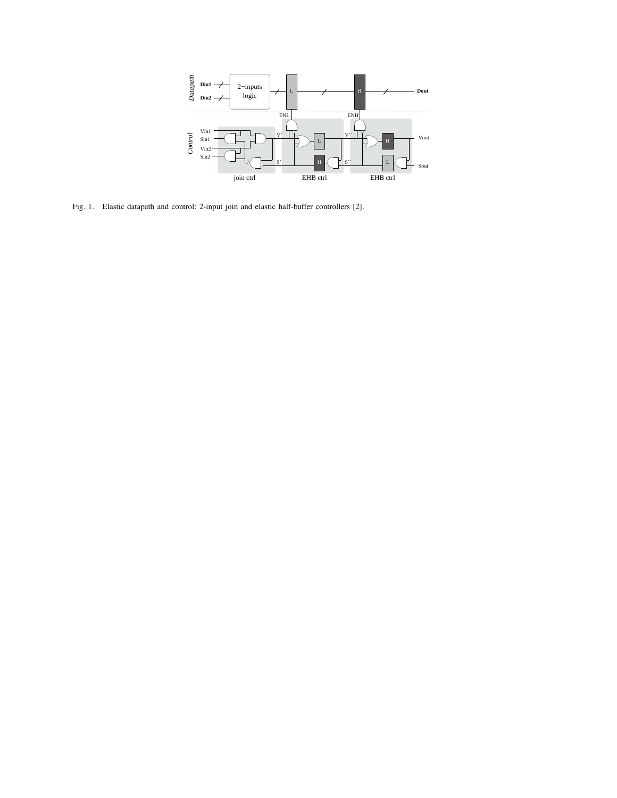

Fig. 1. Elastic datapath and control: 2-input join and elastic half-buffer controllers [2].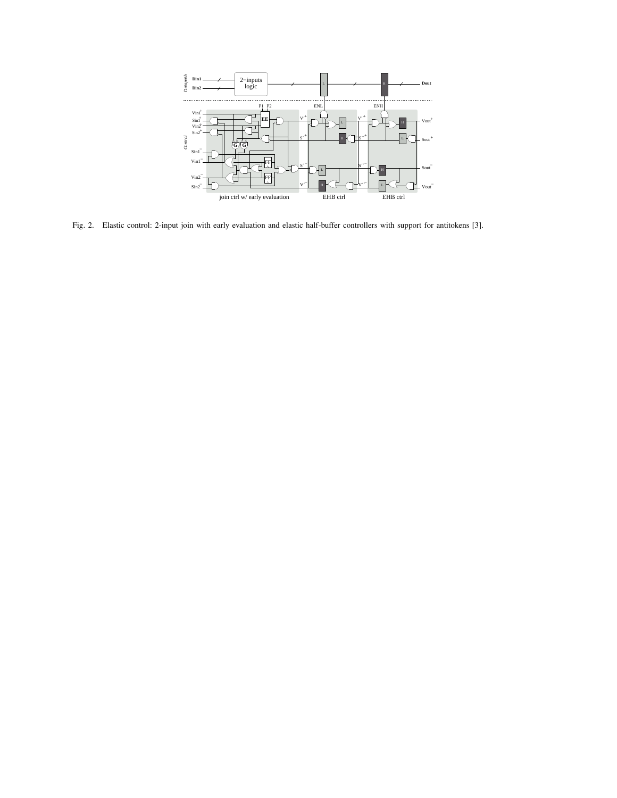

Fig. 2. Elastic control: 2-input join with early evaluation and elastic half-buffer controllers with support for antitokens [3].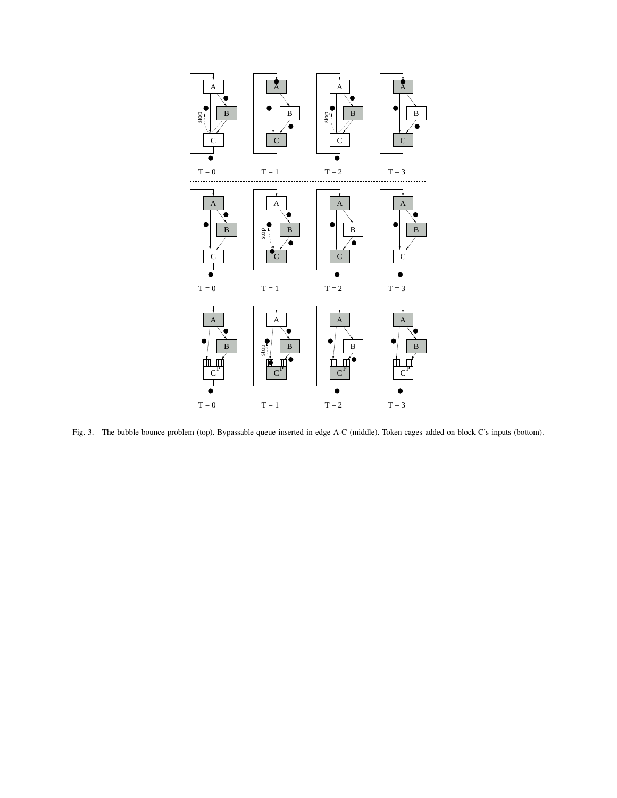

Fig. 3. The bubble bounce problem (top). Bypassable queue inserted in edge A-C (middle). Token cages added on block C's inputs (bottom).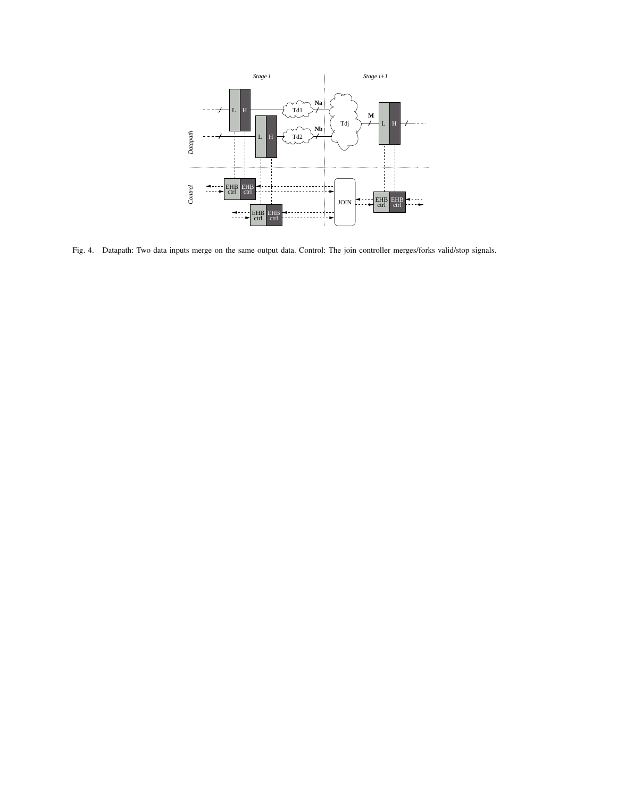

Fig. 4. Datapath: Two data inputs merge on the same output data. Control: The join controller merges/forks valid/stop signals.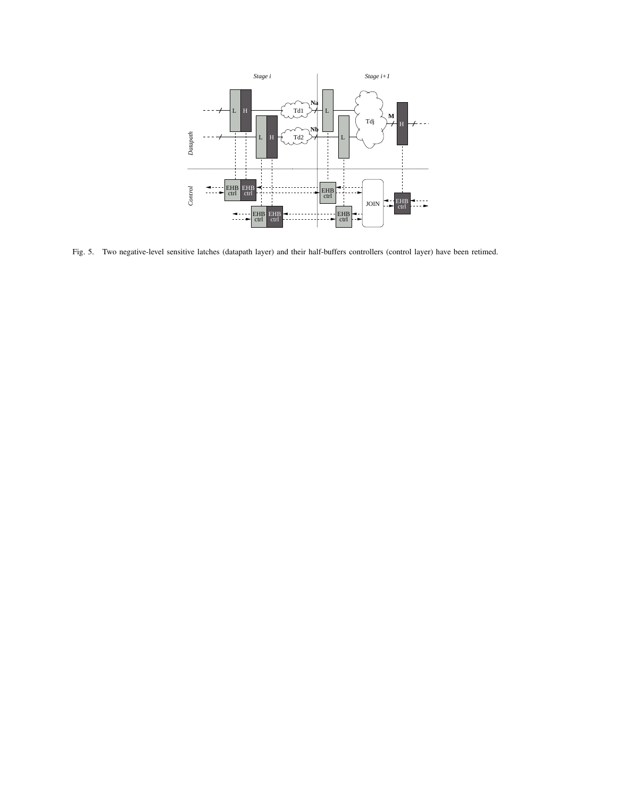

Fig. 5. Two negative-level sensitive latches (datapath layer) and their half-buffers controllers (control layer) have been retimed.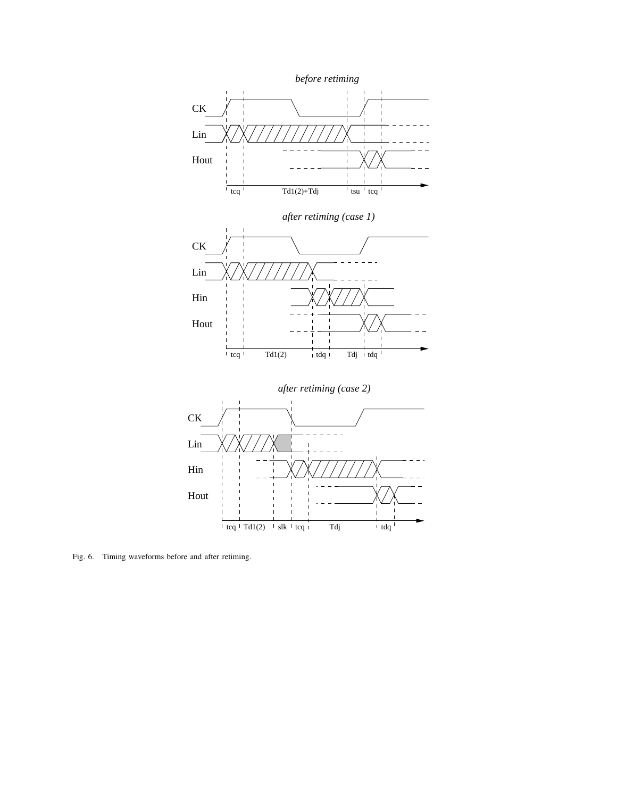

Fig. 6. Timing waveforms before and after retiming.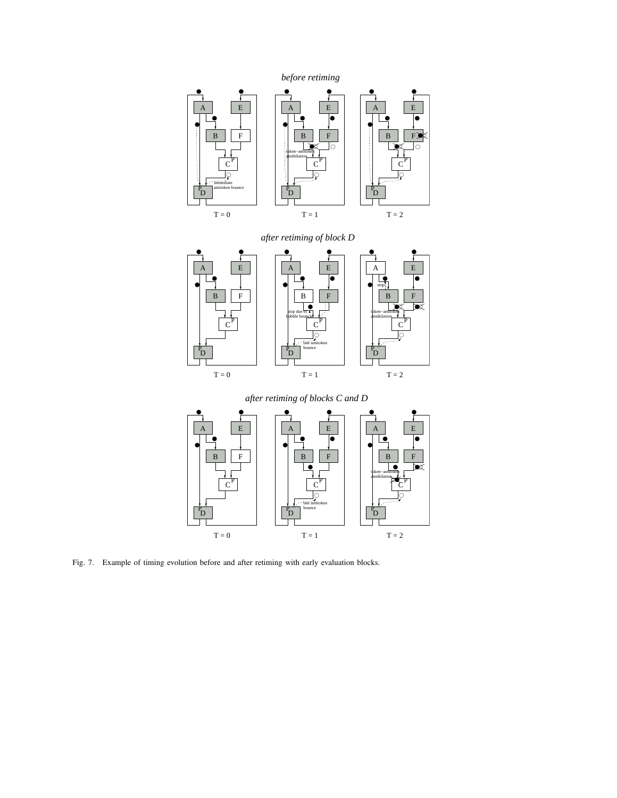

Fig. 7. Example of timing evolution before and after retiming with early evaluation blocks.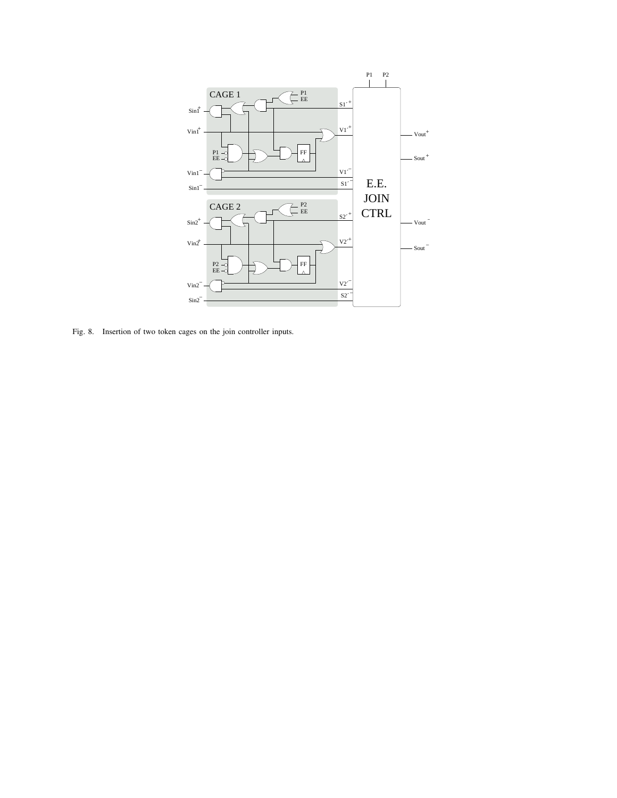

Fig. 8. Insertion of two token cages on the join controller inputs.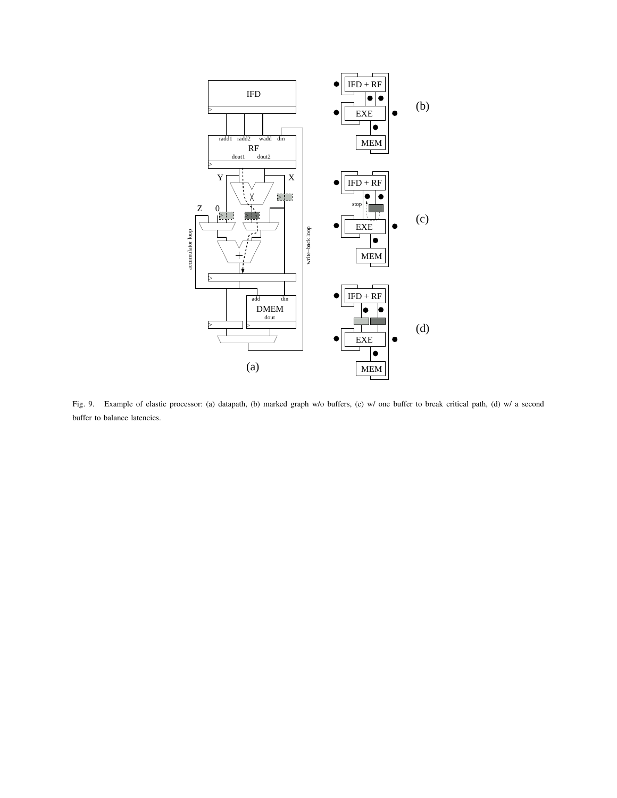

Fig. 9. Example of elastic processor: (a) datapath, (b) marked graph w/o buffers, (c) w/ one buffer to break critical path, (d) w/ a second buffer to balance latencies.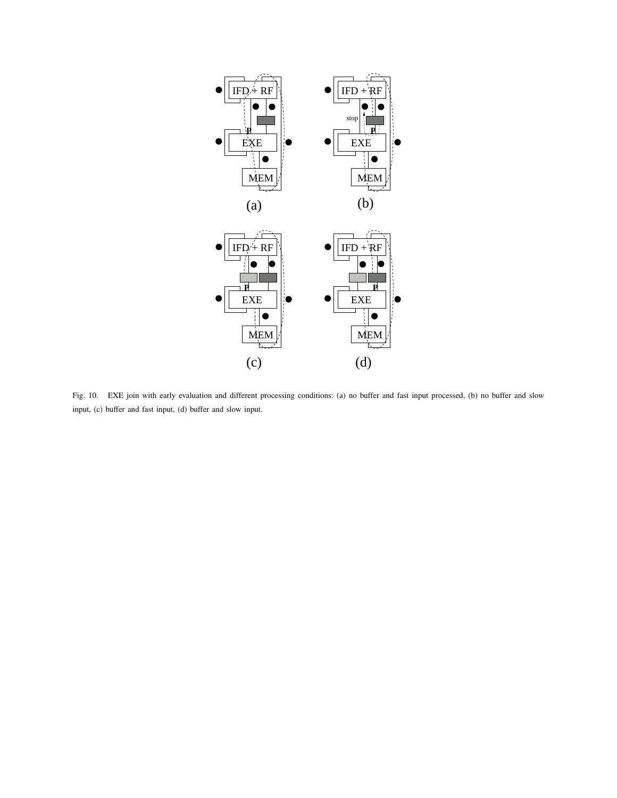



Fig. 10. EXE join with early evaluation and different processing conditions: (a) no buffer and fast input processed, (b) no buffer and slow input, (c) buffer and fast input, (d) buffer and slow input.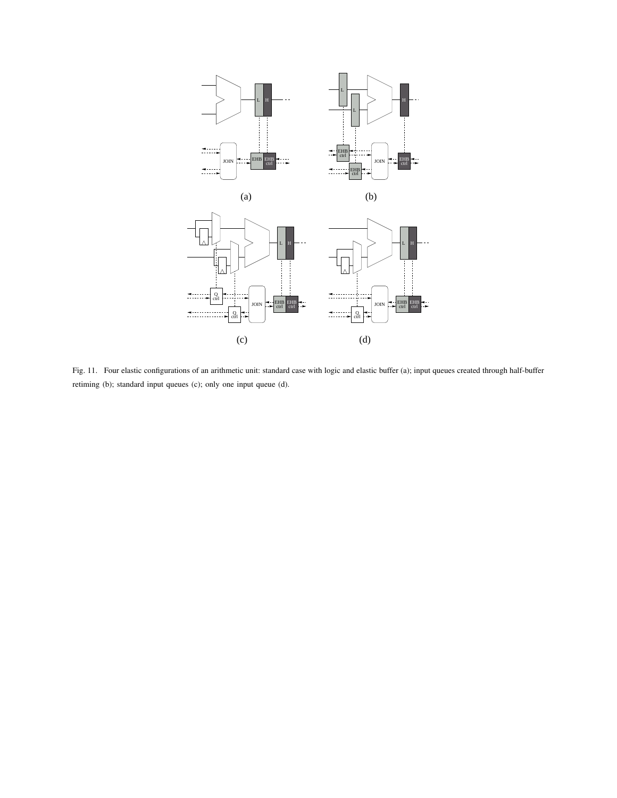

Fig. 11. Four elastic configurations of an arithmetic unit: standard case with logic and elastic buffer (a); input queues created through half-buffer retiming (b); standard input queues (c); only one input queue (d).